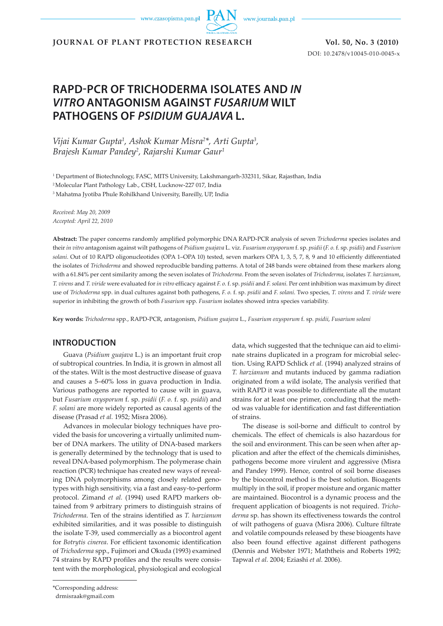www.czasopisma.pan.pl

www.journals.pan.pl

**JOURNAL OF PLANT PROTECTION RESEARCH Vol. 50, No. 3 (2010)**

DOI: 10.2478/v10045-010-0045-x

# **RAPD-PCR OF TRICHODERMA ISOLATES AND** *IN VITRO* **ANTAGONISM AGAINST** *FUSARIUM* **WILT PATHOGENS OF** *PSIDIUM GUAJAVA* **L.**

Vijai Kumar Gupta<sup>1</sup>, Ashok Kumar Misra<sup>2\*</sup>, Arti Gupta<sup>3</sup>, *Brajesh Kumar Pandey2 , Rajarshi Kumar Gaur1*

1 Department of Biotechnology, FASC, MITS University, Lakshmangarh-332311, Sikar, Rajasthan, India

2 Molecular Plant Pathology Lab., CISH, Lucknow-227 017, India

3 Mahatma Jyotiba Phule Rohilkhand University, Bareilly, UP, India

*Received: May 20, 2009 Accepted: April 22, 2010*

**Abstract:** The paper concerns randomly amplified polymorphic DNA RAPD-PCR analysis of seven *Trichoderma* species isolates and their *in vitro* antagonism against wilt pathogens of *Psidium guajava* L. viz. *Fusarium oxysporum* f. sp. *psidii* (*F. o.* f. sp. *psidii*) and *Fusarium solani*. Out of 10 RAPD oligonucleotides (OPA 1–OPA 10) tested, seven markers OPA 1, 3, 5, 7, 8, 9 and 10 efficiently differentiated the isolates of *Trichoderma* and showed reproducible banding patterns. A total of 248 bands were obtained from these markers along with a 61.84% per cent similarity among the seven isolates of *Trichoderma*. From the seven isolates of *Trichoderma*, isolates *T. harzianum*, *T. virens* and *T. viride* were evaluated for *in vitro* efficacy against *F. o.* f. sp. *psidii* and *F. solani.* Per cent inhibition was maximum by direct use of *Trichoderma* spp. in dual cultures against both pathogens, *F. o.* f. sp. *psidii* and *F. solani*. Two species, *T. virens* and *T. viride* were superior in inhibiting the growth of both *Fusarium* spp. *Fusarium* isolates showed intra species variability.

**Key words:** *Trichoderma* spp., RAPD-PCR, antagonism, *Psidium guajava* L., *Fusarium oxysporum* f. sp. *psidii*, *Fusarium solani*

### **INTRODUCTION**

Guava (*Psidium guajava* L.) is an important fruit crop of subtropical countries. In India, it is grown in almost all of the states. Wilt is the most destructive disease of guava and causes a 5–60% loss in guava production in India. Various pathogens are reported to cause wilt in guava, but *Fusarium oxysporum* f. sp. *psidii* (*F. o.* f. sp. *psidii*) and *F. solani* are more widely reported as causal agents of the disease (Prasad *et al.* 1952; Misra 2006).

Advances in molecular biology techniques have provided the basis for uncovering a virtually unlimited number of DNA markers. The utility of DNA-based markers is generally determined by the technology that is used to reveal DNA-based polymorphism. The polymerase chain reaction (PCR) technique has created new ways of revealing DNA polymorphisms among closely related genotypes with high sensitivity, via a fast and easy-to-perform protocol. Zimand *et al.* (1994) used RAPD markers obtained from 9 arbitrary primers to distinguish strains of *Trichoderma*. Ten of the strains identified as *T. harzianum*  exhibited similarities, and it was possible to distinguish the isolate T-39, used commercially as a biocontrol agent for *Botrytis cinerea*. For efficient taxonomic identification of *Trichoderma* spp., Fujimori and Okuda (1993) examined 74 strains by RAPD profiles and the results were consistent with the morphological, physiological and ecological data, which suggested that the technique can aid to eliminate strains duplicated in a program for microbial selection. Using RAPD Schlick *et al.* (1994) analyzed strains of *T. harzianum* and mutants induced by gamma radiation originated from a wild isolate, The analysis verified that with RAPD it was possible to differentiate all the mutant strains for at least one primer, concluding that the method was valuable for identification and fast differentiation of strains.

The disease is soil-borne and difficult to control by chemicals. The effect of chemicals is also hazardous for the soil and environment. This can be seen when after application and after the effect of the chemicals diminishes, pathogens become more virulent and aggressive (Misra and Pandey 1999). Hence, control of soil borne diseases by the biocontrol method is the best solution. Bioagents multiply in the soil, if proper moisture and organic matter are maintained. Biocontrol is a dynamic process and the frequent application of bioagents is not required. *Trichoderma* sp. has shown its effectiveness towards the control of wilt pathogens of guava (Misra 2006). Culture filtrate and volatile compounds released by these bioagents have also been found effective against different pathogens (Dennis and Webster 1971; Maththeis and Roberts 1992; Tapwal *et al.* 2004; Eziashi *et al.* 2006).

\*Corresponding address:

drmisraak@gmail.com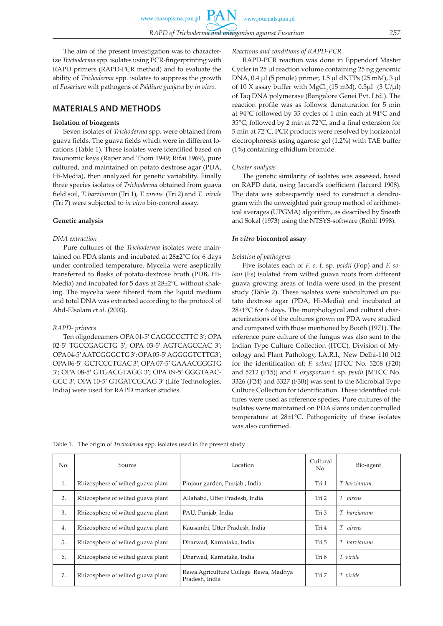www.czasopisma.pan.pl

The aim of the present investigation was to characterize *Trichoderma s*pp. isolates using PCR-fingerprinting with RAPD primers (RAPD-PCR method) and to evaluate the ability of *Trichoderma* spp. isolates to suppress the growth of *Fusarium* wilt pathogens of *Psidium guajava* by *in vitro*.

### **MATERIALS AND METHODS**

#### **Isolation of bioagents**

Seven isolates of *Trichoderma* spp. were obtained from guava fields. The guava fields which were in different locations (Table 1). These isolates were identified based on taxonomic keys (Raper and Thom 1949; Rifai 1969), pure cultured, and maintained on potato dextrose agar (PDA, Hi-Media), then analyzed for genetic variability. Finally three species isolates of *Trichoderma* obtained from guava field soil, *T. harzianum* (Tri 1), *T. virens* (Tri 2) and *T. viride*  (Tri 7) were subjected to *in vitro* bio-control assay.

#### **Genetic analysis**

#### *DNA extraction*

Pure cultures of the *Trichoderma* isolates were maintained on PDA slants and incubated at 28±2°C for 6 days under controlled temperature. Mycelia were aseptically transferred to flasks of potato-dextrose broth (PDB, Hi-Media) and incubated for 5 days at 28±2°C without shaking. The mycelia were filtered from the liquid medium and total DNA was extracted according to the protocol of Abd-Elsalam *et al*. (2003).

#### *RAPD- primers*

Ten oligodecamers OPA 01-5′ CAGGCCCTTC 3′; OPA 02-5′ TGCCGAGCTG 3′; OPA 03-5′ AGTCAGCCAC 3′; OPA 04-5′ AATCGGGCTG 3′; OPA 05-5′ AGGGGTCTTG3′; OPA 06-5′ GCTCCCTGAC 3′; OPA 07-5′ GAAACGGGTG 3′; OPA 08-5′ GTGACGTAGG 3′; OPA 09-5′ GGGTAAC-GCC 3′; OPA 10-5′ GTGATCGCAG 3' (Life Technologies, India) were used for RAPD marker studies.

#### *Reactions and conditions of RAPD-PCR*

www.journals.pan.pl

RAPD-PCR reaction was done in Eppendorf Master Cycler in 25 µl reaction volume containing 25 ng genomic DNA, 0.4 µl (5 pmole) primer, 1.5 µl dNTPs (25 mM), 3 µl of 10 X assay buffer with MgCl<sub>2</sub> (15 mM), 0.5 $\mu$ l (3 U/ $\mu$ l) of Taq DNA polymerase (Bangalore Genei Pvt. Ltd.). The reaction profile was as follows: denaturation for 5 min at 94°C followed by 35 cycles of 1 min each at 94°C and 35°C, followed by 2 min at 72°C, and a final extension for 5 min at 72°C. PCR products were resolved by horizontal electrophoresis using agarose gel (1.2%) with TAE buffer (1%) containing ethidium bromide.

#### *Cluster analysis*

The genetic similarity of isolates was assessed, based on RAPD data, using Jaccard's coefficient (Jaccard 1908). The data was subsequently used to construct a dendrogram with the unweighted pair group method of arithmetical averages (UPGMA) algorithm, as described by Sneath and Sokal (1973) using the NTSYS-software (Rohlf 1998).

#### *In vitro* **biocontrol assay**

#### *Isolation of pathogens*

Five isolates each of *F. o.* f. sp*. psidii* (Fop) and *F. solani* (Fs) isolated from wilted guava roots from different guava growing areas of India were used in the present study (Table 2). These isolates were subcultured on potato dextrose agar (PDA, Hi-Media) and incubated at 28±1<sup>o</sup>C for 6 days. The morphological and cultural characterizations of the cultures grown on PDA were studied and compared with those mentioned by Booth (1971). The reference pure culture of the fungus was also sent to the Indian Type Culture Collection (ITCC), Division of Mycology and Plant Pathology, I.A.R.I., New Delhi-110 012 for the identification of: *F. solani* [ITCC No. 5208 (F20) and 5212 (F15)] and *F. oxysporum* f. sp. *psidii* [MTCC No. 3326 (F24) and 3327 (F30)] was sent to the Microbial Type Culture Collection for identification. These identified cultures were used as reference species. Pure cultures of the isolates were maintained on PDA slants under controlled temperature at 28±1°C. Pathogenicity of these isolates was also confirmed.

| No. | Source                            | Location                                                | Cultural<br>No. | Bio-agent    |
|-----|-----------------------------------|---------------------------------------------------------|-----------------|--------------|
| 1.  | Rhizosphere of wilted guava plant | Pinjour garden, Punjab, India                           | Tri 1           | T. harzianum |
| 2.  | Rhizosphere of wilted guava plant | Allahabd, Utter Pradesh, India                          | Tri 2           | T. virens    |
| 3.  | Rhizosphere of wilted guava plant | PAU, Punjab, India                                      | Tri 3           | T. harzianum |
| 4.  | Rhizosphere of wilted guava plant | Kausambi, Utter Pradesh, India                          | Tri 4           | T. virens    |
| 5.  | Rhizosphere of wilted guava plant | Dharwad, Karnataka, India                               | Tri 5           | T. harzianum |
| 6.  | Rhizosphere of wilted guava plant | Dharwad, Karnataka, India                               | Tri 6           | T. viride    |
| 7.  | Rhizosphere of wilted guava plant | Rewa Agriculture College Rewa, Madhya<br>Pradesh, India | Tri 7           | T. viride    |

Table 1. The origin of *Trichoderma* spp. isolates used in the present study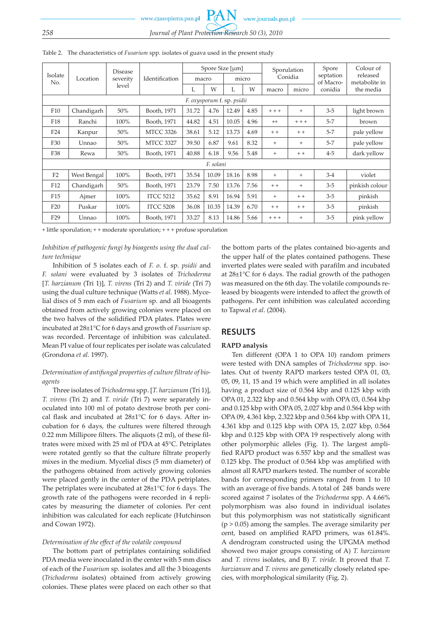www.czasopisma.pan.pl

## *258 Journal of Plant Protection Research 50 (3), 2010*

| Isolate                    | Location    | Disease<br>severity<br>level | Identification   | Spore Size [µm]<br>micro<br>macro |       |       | Sporulation<br>Conidia |         | Spore<br>septation | Colour of<br>released |                            |
|----------------------------|-------------|------------------------------|------------------|-----------------------------------|-------|-------|------------------------|---------|--------------------|-----------------------|----------------------------|
| No.                        |             |                              |                  | L                                 | W     | L     | W                      | macro   | micro              | of Macro-<br>conidia  | metabolite in<br>the media |
| F. oxysporum f. sp. psidii |             |                              |                  |                                   |       |       |                        |         |                    |                       |                            |
| F10                        | Chandigarh  | 50%                          | Booth, 1971      | 31.72                             | 4.76  | 12.49 | 4.85                   | $+ + +$ | $^{+}$             | $3 - 5$               | light brown                |
| F <sub>18</sub>            | Ranchi      | $100\%$                      | Booth, 1971      | 44.82                             | 4.51  | 10.05 | 4.96                   | $^{++}$ | $+ + +$            | $5 - 7$               | brown                      |
| F24                        | Kanpur      | 50%                          | <b>MTCC 3326</b> | 38.61                             | 5.12  | 13.73 | 4.69                   | $+ +$   | $+ +$              | $5 - 7$               | pale yellow                |
| F30                        | Unnao       | 50%                          | <b>MTCC 3327</b> | 39.50                             | 6.87  | 9.61  | 8.32                   | $+$     | $^{+}$             | $5 - 7$               | pale yellow                |
| F38                        | Rewa        | 50%                          | Booth, 1971      | 40.88                             | 6.18  | 9.56  | 5.48                   | $+$     | $+ +$              | $4 - 5$               | dark yellow                |
| F. solani                  |             |                              |                  |                                   |       |       |                        |         |                    |                       |                            |
| F <sub>2</sub>             | West Bengal | 100%                         | Booth, 1971      | 35.54                             | 10.09 | 18.16 | 8.98                   | $^{+}$  | $^{+}$             | $3-4$                 | violet                     |
| F <sub>12</sub>            | Chandigarh  | 50%                          | Booth, 1971      | 23.79                             | 7.50  | 13.76 | 7.56                   | $+ +$   | $^{+}$             | $3-5$                 | pinkish colour             |
| F <sub>15</sub>            | Ajmer       | 100%                         | <b>ITCC 5212</b> | 35.62                             | 8.91  | 16.94 | 5.91                   | $+$     | $+ +$              | $3 - 5$               | pinkish                    |
| F20                        | Puskar      | $100\%$                      | <b>ITCC 5208</b> | 36.08                             | 10.35 | 14.39 | 6.70                   | $+ +$   | $+ +$              | $3-5$                 | pinkish                    |
| F <sub>29</sub>            | Unnao       | 100%                         | Booth, 1971      | 33.27                             | 8.13  | 14.86 | 5.66                   | $++ +$  | $^{+}$             | $3 - 5$               | pink yellow                |

Table 2. The characteristics of *Fusarium* spp. isolates of guava used in the present study

+ little sporulation; + + moderate sporulation; + + + profuse sporulation

### *Inhibition of pathogenic fungi by bioagents using the dual culture technique*

Inhibition of 5 isolates each of *F. o.* f. sp*. psidii* and *F. solani* were evaluated by 3 isolates of *Trichoderma* [*T. harzianum* (Tri 1)], *T. virens* (Tri 2) and *T. viride* (Tri 7) using the dual culture technique (Watts *et al.* 1988). Mycelial discs of 5 mm each of *Fusarium* sp. and all bioagents obtained from actively growing colonies were placed on the two halves of the solidified PDA plates. Plates were incubated at 28±1°C for 6 days and growth of *Fusarium* sp. was recorded. Percentage of inhibition was calculated. Mean PI value of four replicates per isolate was calculated (Grondona *et al.* 1997).

### *Determination of antifungal properties of culture filtrate of bioagents*

Three isolates of *Trichoderma* spp. [*T. harzianum* (Tri 1)], *T. virens* (Tri 2) and *T. viride* (Tri 7) were separately inoculated into 100 ml of potato dextrose broth per conical flask and incubated at 28±1°C for 6 days. After incubation for 6 days, the cultures were filtered through 0.22 mm Millipore filters. The aliquots (2 ml), of these filtrates were mixed with 25 ml of PDA at 45°C. Petriplates were rotated gently so that the culture filtrate properly mixes in the medium. Mycelial discs (5 mm diameter) of the pathogens obtained from actively growing colonies were placed gently in the center of the PDA petriplates. The petriplates were incubated at 28±1°C for 6 days. The growth rate of the pathogens were recorded in 4 replicates by measuring the diameter of colonies. Per cent inhibition was calculated for each replicate (Hutchinson and Cowan 1972).

### *Determination of the effect of the volatile compound*

The bottom part of petriplates containing solidified PDA media were inoculated in the center with 5 mm discs of each of the *Fusarium* sp. isolates and all the 3 bioagents (*Trichoderma* isolates) obtained from actively growing colonies. These plates were placed on each other so that

the bottom parts of the plates contained bio-agents and the upper half of the plates contained pathogens. These inverted plates were sealed with parafilm and incubated at 28±1°C for 6 days. The radial growth of the pathogen was measured on the 6th day. The volatile compounds released by bioagents were intended to affect the growth of pathogens. Per cent inhibition was calculated according to Tapwal *et al*. (2004).

# **RESULTS**

### **RAPD analysis**

Ten different (OPA 1 to OPA 10) random primers were tested with DNA samples of *Trichoderma* spp. isolates. Out of twenty RAPD markers tested OPA 01, 03, 05, 09, 11, 15 and 19 which were amplified in all isolates having a product size of 0.564 kbp and 0.125 kbp with OPA 01, 2.322 kbp and 0.564 kbp with OPA 03, 0.564 kbp and 0.125 kbp with OPA 05, 2.027 kbp and 0.564 kbp with OPA 09, 4.361 kbp, 2.322 kbp and 0.564 kbp with OPA 11, 4.361 kbp and 0.125 kbp with OPA 15, 2.027 kbp, 0.564 kbp and 0.125 kbp with OPA 19 respectively along with other polymorphic alleles (Fig. 1). The largest amplified RAPD product was 6.557 kbp and the smallest was 0.125 kbp. The product of 0.564 kbp was amplified with almost all RAPD markers tested. The number of scorable bands for corresponding primers ranged from 1 to 10 with an average of five bands. A total of 248 bands were scored against 7 isolates of the *Trichoderma* spp. A 4.66% polymorphism was also found in individual isolates but this polymorphism was not statistically significant  $(p > 0.05)$  among the samples. The average similarity per cent, based on amplified RAPD primers, was 61.84%. A dendrogram constructed using the UPGMA method showed two major groups consisting of A) *T. harzianum* and *T. virens* isolates, and B) *T. viride.* It proved that *T. harzianum* and *T. virens* are genetically closely related species, with morphological similarity (Fig. 2).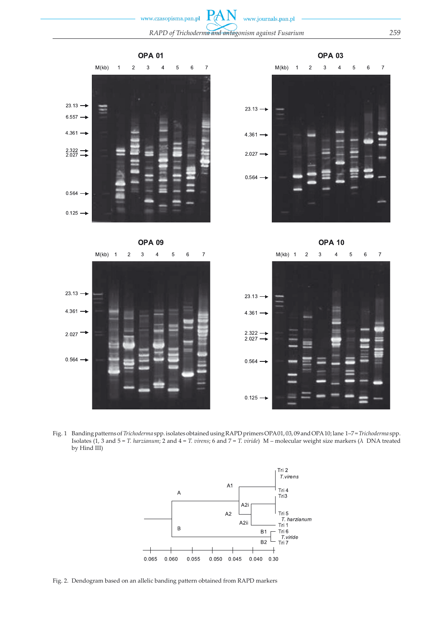

Fig. 1 Banding patterns of *Trichoderma* spp. isolates obtained using RAPD primers OPA 01, 03, 09 and OPA 10; lane 1–7 = *Trichoderma* spp. Isolates (1, 3 and 5 = *T. harzianum*; 2 and 4 = *T. virens*; 6 and 7 = *T. viride*) M – molecular weight size markers (λ DNA treated by Hind III)



Fig. 2. Dendogram based on an allelic banding pattern obtained from RAPD markers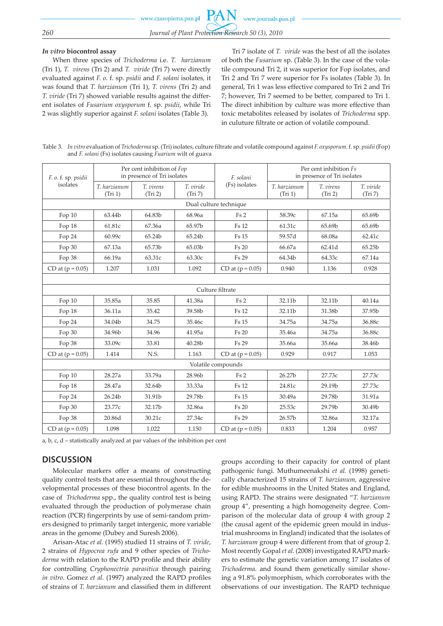### *In vitro* **biocontrol assay**

When three species of *Trichoderma* i.e. *T. harzianum* (Tri 1), *T. virens* (Tri 2) and *T. viride* (Tri 7) were directly evaluated against *F. o.* f. sp. *psidii* and *F. solani* isolates, it was found that *T. harzianum* (Tri 1), *T. virens* (Tri 2) and *T. viride* (Tri 7) showed variable results against the different isolates of *Fusarium oxysporum* f. sp. *psidii*, while Tri 2 was slightly superior against *F. solani* isolates (Table 3).

Tri 7 isolate of *T. viride* was the best of all the isolates of both the *Fusarium* sp. (Table 3). In the case of the volatile compound Tri 2, it was superior for Fop isolates, and Tri 2 and Tri 7 were superior for Fs isolates (Table 3). In general, Tri 1 was less effective compared to Tri 2 and Tri 7; however, Tri 7 seemed to be better, compared to Tri 1. The direct inhibition by culture was more effective than toxic metabolites released by isolates of *Trichoderma* spp. in culuture filtrate or action of volatile compound.

Table 3. *In vitro* evaluation of *Trichoderma* sp. (Tri) isolates, culture filtrate and volatile compound against *F. oxysporum.* f. sp. *psidii* (Fop) and *F. solani* (Fs) isolates causing *Fuarium* wilt of guava

| F. o. f. sp. psidii | Per cent inhibition of Fop<br>in presence of Tri isolates |                      |                      | F. solani              | Per cent inhibition Fs<br>in presence of Tri isolates |                      |                      |  |
|---------------------|-----------------------------------------------------------|----------------------|----------------------|------------------------|-------------------------------------------------------|----------------------|----------------------|--|
| isolates            | T. harzianum<br>(Tri 1)                                   | T. virens<br>(Tri 2) | T. viride<br>(Tri 7) | (Fs) isolates          | T. harzianum<br>(Tri 1)                               | T. virens<br>(Tri 2) | T. viride<br>(Tri 7) |  |
|                     |                                                           |                      |                      | Dual culture technique |                                                       |                      |                      |  |
| Fop 10              | 63.44b                                                    | 64.83b               | 68.96a               | Fs2                    | 58.39c                                                | 67.15a               | 65.69b               |  |
| Fop 18              | 61.81c                                                    | 67.36a               | 65.97b               | <b>Fs 12</b>           | 61.31c                                                | 65.69b               | 65.69b               |  |
| Fop 24              | 60.99c                                                    | 65.24b               | 65.24b               | <b>Fs</b> 15           | 59.57d                                                | 68.08a               | 62.41c               |  |
| Fop 30              | 67.13a                                                    | 65.73b               | 65.03b               | <b>Fs 20</b>           | 66.67a                                                | 62.41d               | 65.25b               |  |
| Fop 38              | 66.19a                                                    | 63.31c               | 63.30c               | Fs 29                  | 64.34b                                                | 64.33c               | 67.14a               |  |
| CD at $(p = 0.05)$  | 1.207                                                     | 1.031                | 1.092                | CD at $(p = 0.05)$     | 0.940                                                 | 1.136                | 0.928                |  |
|                     |                                                           |                      |                      |                        |                                                       |                      |                      |  |
|                     |                                                           |                      |                      | Culture filtrate       |                                                       |                      |                      |  |
| Fop 10              | 35.85a                                                    | 35.85                | 41.38a               | Fs2                    | 32.11b                                                | 32.11b               | 40.14a               |  |
| Fop 18              | 36.11a                                                    | 35.42                | 39.58b               | <b>Fs 12</b>           | 32.11b                                                | 31.38b               | 37.95b               |  |
| Fop 24              | 34.04b                                                    | 34.75                | 35.46с               | <b>Fs 15</b>           | 34.75a                                                | 34.75a               | 36.88c               |  |
| Fop 30              | 34.96b                                                    | 34.96                | 41.95a               | <b>Fs 20</b>           | 35.46a                                                | 34.75a               | 36.88c               |  |
| Fop 38              | 33.09c                                                    | 33.81                | 40.28b               | Fs 29                  | 35.66a                                                | 35.66a               | 38.46b               |  |
| CD at $(p = 0.05)$  | 1.414                                                     | N.S.                 | 1.163                | CD at $(p = 0.05)$     | 0.929                                                 | 0.917                | 1.053                |  |
|                     |                                                           |                      |                      | Volatile compounds     |                                                       |                      |                      |  |
| Fop 10              | 28.27a                                                    | 33.79a               | 28.96b               | Fs2                    | 26.27b                                                | 27.73c               | 27.73c               |  |
| Fop 18              | 28.47a                                                    | 32.64b               | 33.33a               | <b>Fs 12</b>           | 24.81c                                                | 29.19b               | 27.73c               |  |
| Fop 24              | 26.24b                                                    | 31.91b               | 29.78b               | <b>Fs 15</b>           | 30.49a                                                | 29.78b               | 31.91a               |  |
| Fop 30              | 23.77c                                                    | 32.17b               | 32.86a               | <b>Fs 20</b>           | 25.53c                                                | 29.79b               | 30.49b               |  |
| Fop 38              | 20.86d                                                    | 30.21c               | 27.34c               | Fs 29                  | 26.57b                                                | 32.86a               | 32.17a               |  |
| CD at $(p = 0.05)$  | 1.098                                                     | 1.022                | 1.150                | CD at $(p = 0.05)$     | 0.833                                                 | 1.204                | 0.957                |  |

a, b, c, d – statistically analyzed at par values of the inhibition per cent

# **DISCUSSION**

Molecular markers offer a means of constructing quality control tests that are essential throughout the developmental processes of these biocontrol agents. In the case of *Trichoderma* spp., the quality control test is being evaluated through the production of polymerase chain reaction (PCR) fingerprints by use of semi-random primers designed to primarily target intergenic, more variable areas in the genome (Dubey and Suresh 2006).

Arisan-Atac *et al.* (1995) studied 11 strains of *T. viride*, 2 strains of *Hypocrea rufa* and 9 other species of *Trichoderma* with relation to the RAPD profile and their ability for controlling *Cryphonectria parasitica* through pairing *in vitro*. Gomez *et al.* (1997) analyzed the RAPD profiles of strains of *T. harzianum* and classified them in different groups according to their capacity for control of plant pathogenic fungi. Muthumeenakshi *et al.* (1998) genetically characterized 15 strains of *T. harzianum,* aggressive for edible mushrooms in the United States and England, using RAPD. The strains were designated "*T. harzianum*  group 4", presenting a high homogeneity degree. Comparison of the molecular data of group 4 with group 2 (the causal agent of the epidemic green mould in industrial mushrooms in England) indicated that the isolates of *T. harzianum* group 4 were different from that of group 2. Most recently Gopal *et al.* (2008) investigated RAPD markers to estimate the genetic variation among 17 isolates of *Trichoderma.* and found them genetically similar showing a 91.8% polymorphism, which corroborates with the observations of our investigation. The RAPD technique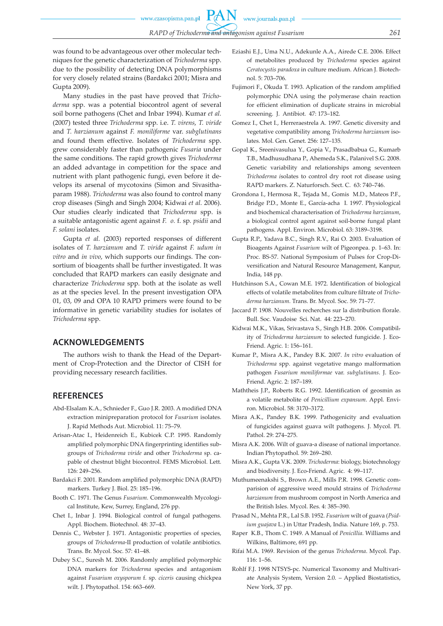www.journals.pan.pl

PA

was found to be advantageous over other molecular techniques for the genetic characterization of *Trichoderma* spp. due to the possibility of detecting DNA polymorphisms for very closely related strains (Bardakci 2001; Misra and Gupta 2009).

Many studies in the past have proved that *Trichoderma* spp. was a potential biocontrol agent of several soil borne pathogens (Chet and Inbar 1994). Kumar *et al.* (2007) tested three *Trichoderma* spp. i.e. *T. virens*, *T. viride* and *T. harzianum* against *F. moniliforme* var. *subglutinans* and found them effective. Isolates of *Trichoderma* spp. grew considerably faster than pathogenic *Fusaria* under the same conditions. The rapid growth gives *Trichoderma* an added advantage in competition for the space and nutrient with plant pathogenic fungi, even before it develops its arsenal of mycotoxins (Simon and Sivasithaparam 1988). *Trichoderma* was also found to control many crop diseases (Singh and Singh 2004; Kidwai *et al.* 2006). Our studies clearly indicated that *Trichoderma* spp. is a suitable antagonistic agent against *F. o.* f. sp*. psidii* and *F. solani* isolates.

Gupta *et al.* (2003) reported responses of different isolates of *T. harzianum* and *T. viride* against *F. udum in vitro* and *in vivo*, which supports our findings. The consortium of bioagents shall be further investigated. It was concluded that RAPD markers can easily designate and characterize *Trichoderma* spp. both at the isolate as well as at the species level. In the present investigation OPA 01, 03, 09 and OPA 10 RAPD primers were found to be informative in genetic variability studies for isolates of *Trichoderma* spp.

### **ACKNOWLEDGEMENTS**

The authors wish to thank the Head of the Department of Crop-Protection and the Director of CISH for providing necessary research facilities.

### **REFERENCES**

- Abd-Elsalam K.A., Schnieder F., Guo J.R. 2003. A modified DNA extraction minipreparation protocol for *Fusarium* isolates. J. Rapid Methods Aut. Microbiol. 11: 75–79.
- Arisan-Atac I., Heidenreich E., Kubicek C.P. 1995. Randomly amplified polymorphic DNA fingerprinting identifies subgroups of *Trichoderma viride* and other *Trichoderma* sp. capable of chestnut blight biocontrol. FEMS Microbiol. Lett. 126: 249–256.
- Bardakci F. 2001. Random amplified polymorphic DNA (RAPD) markers. Turkey J. Biol. 25: 185–196.
- Booth C. 1971. The Genus *Fusarium*. Commonwealth Mycological Institute, Kew, Surrey, England, 276 pp.
- Chet I., Inbar J. 1994. Biological control of fungal pathogens. Appl. Biochem. Biotechnol. 48: 37–43.
- Dennis C., Webster J. 1971. Antagonistic properties of species, groups of *Trichoderma*-II production of volatile antibiotics. Trans. Br. Mycol. Soc. 57: 41–48.
- Dubey S.C., Suresh M. 2006. Randomly amplified polymorphic DNA markers for *Trichoderma* species and antagonism against *Fusarium oxysporum* f. sp. *ciceris* causing chickpea wilt. J. Phytopathol. 154: 663–669.
- Eziashi E.J., Uma N.U., Adekunle A.A., Airede C.E. 2006. Effect of metabolites produced by *Trichoderma* species against *Ceratocystis paradoxa* in culture medium. African J. Biotechnol. 5: 703–706.
- Fujimori F., Okuda T. 1993. Aplication of the random amplified polymorphic DNA using the polymerase chain reaction for efficient elimination of duplicate strains in microbial screening. J. Antibiot. 47: 173–182.
- Gomez I., Chet I., Herreraestrela A. 1997. Genetic diversity and vegetative compatibility among *Trichoderma harzianum* isolates. Mol. Gen. Genet. 256: 127–135.
- Gopal K., Sreenivasulua Y., Gopia V., Prasadbabua G., Kumarb T.B., Madhusudhana P., Ahemeda S.K., Palanivel S.G. 2008. Genetic variability and relationships among seventeen *Trichoderma i*solates to control dry root rot disease using RAPD markers. Z. Naturforsch. Sect. C.63: 740–746.
- Grondona I., Hermosa R., Tejada M., Gomis M.D., Mateos P.F., Bridge P.D., Monte E., García-acha I. 1997. Physiological and biochemical characterisation of *Trichoderma harzianum*, a biological control agent against soil-borne fungal plant pathogens. Appl. Environ. Microbiol. 63: 3189–3198.
- Gupta R.P., Yadava B.C., Singh R.V., Rai O. 2003. Evaluation of Bioagents Against *Fusarium* wilt of Pigeonpea. p. 1–63. In: Proc. BS-57. National Symposium of Pulses for Crop-Diversification and Natural Resource Management, Kanpur, India, 148 pp.
- Hutchinson S.A., Cowan M.E. 1972. Identification of biological effects of volatile metabolites from culture filtrate of *Trichoderma harzianum*. Trans. Br. Mycol. Soc. 59: 71–77.
- Jaccard P. 1908. Nouvelles recherches sur la distribution florale. Bull. Soc. Vaudoise Sci. Nat.44: 223–270.
- Kidwai M.K., Vikas, Srivastava S., Singh H.B. 2006. Compatibil. ity of *Trichoderma harzianum* to selected fungicide. J. Eco-Friend. Agric. 1: 156–161.
- Kumar P., Misra A.K., Pandey B.K. 2007. *In vitro* evaluation of *Trichoderma* spp. against vegetative mango malformation pathogen *Fusarium moniliformae* var. *subglutinans*. J. Eco-Friend. Agric. 2: 187–189.
- Maththeis J.P., Roberts R.G. 1992. Identification of geosmin as a volatile metabolite of *Penicillium expansum*. Appl. Environ. Microbiol. 58: 3170–3172.
- Misra A.K., Pandey B.K. 1999. Pathogenicity and evaluation of fungicides against guava wilt pathogens. J. Mycol. Pl. Pathol. 29: 274–275.
- Misra A.K. 2006. Wilt of guava-a disease of national importance. Indian Phytopathol. 59: 269–280.
- Misra A.K., Gupta V.K. 2009. *Trichoderma*: biology, biotechnology and biodiversity. J. Eco-Friend. Agric. 4: 99–117.
- Muthumeenakshi S., Brown A.E., Mills P.R. 1998. Genetic comparision of aggressive weed mould strains of *Trichoderma harzianum* from mushroom compost in North America and the British Isles. Mycol. Res. 4: 385–390.
- Prasad N., Mehta P.R., Lal S.B. 1952. *Fusarium* wilt of guava (*Psidium guajava* L.) in Uttar Pradesh, India. Nature 169, p. 753.
- Raper K.B., Thom C. 1949. A Manual of *Penicillia*. Williams and Wilkins, Baltimore, 691 pp.
- Rifai M.A. 1969. Revision of the genus *Trichoderma*. Mycol. Pap. 116: 1–56.
- Rohlf F.J. 1998 NTSYS-pc. Numerical Taxonomy and Multivariate Analysis System, Version 2.0. – Applied Biostatistics, New York, 37 pp.